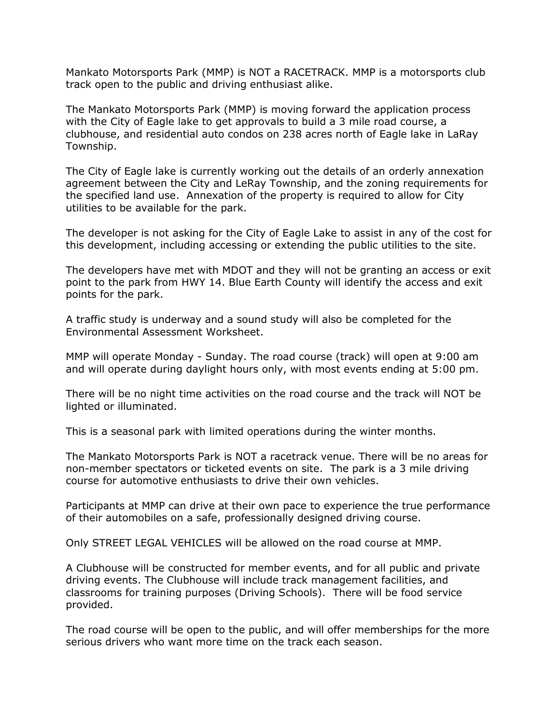Mankato Motorsports Park (MMP) is NOT a RACETRACK. MMP is a motorsports club track open to the public and driving enthusiast alike.

The Mankato Motorsports Park (MMP) is moving forward the application process with the City of Eagle lake to get approvals to build a 3 mile road course, a clubhouse, and residential auto condos on 238 acres north of Eagle lake in LaRay Township.

The City of Eagle lake is currently working out the details of an orderly annexation agreement between the City and LeRay Township, and the zoning requirements for the specified land use. Annexation of the property is required to allow for City utilities to be available for the park.

The developer is not asking for the City of Eagle Lake to assist in any of the cost for this development, including accessing or extending the public utilities to the site.

The developers have met with MDOT and they will not be granting an access or exit point to the park from HWY 14. Blue Earth County will identify the access and exit points for the park.

A traffic study is underway and a sound study will also be completed for the Environmental Assessment Worksheet.

MMP will operate Monday - Sunday. The road course (track) will open at 9:00 am and will operate during daylight hours only, with most events ending at 5:00 pm.

There will be no night time activities on the road course and the track will NOT be lighted or illuminated.

This is a seasonal park with limited operations during the winter months.

The Mankato Motorsports Park is NOT a racetrack venue. There will be no areas for non-member spectators or ticketed events on site. The park is a 3 mile driving course for automotive enthusiasts to drive their own vehicles.

Participants at MMP can drive at their own pace to experience the true performance of their automobiles on a safe, professionally designed driving course.

Only STREET LEGAL VEHICLES will be allowed on the road course at MMP.

A Clubhouse will be constructed for member events, and for all public and private driving events. The Clubhouse will include track management facilities, and classrooms for training purposes (Driving Schools). There will be food service provided.

The road course will be open to the public, and will offer memberships for the more serious drivers who want more time on the track each season.